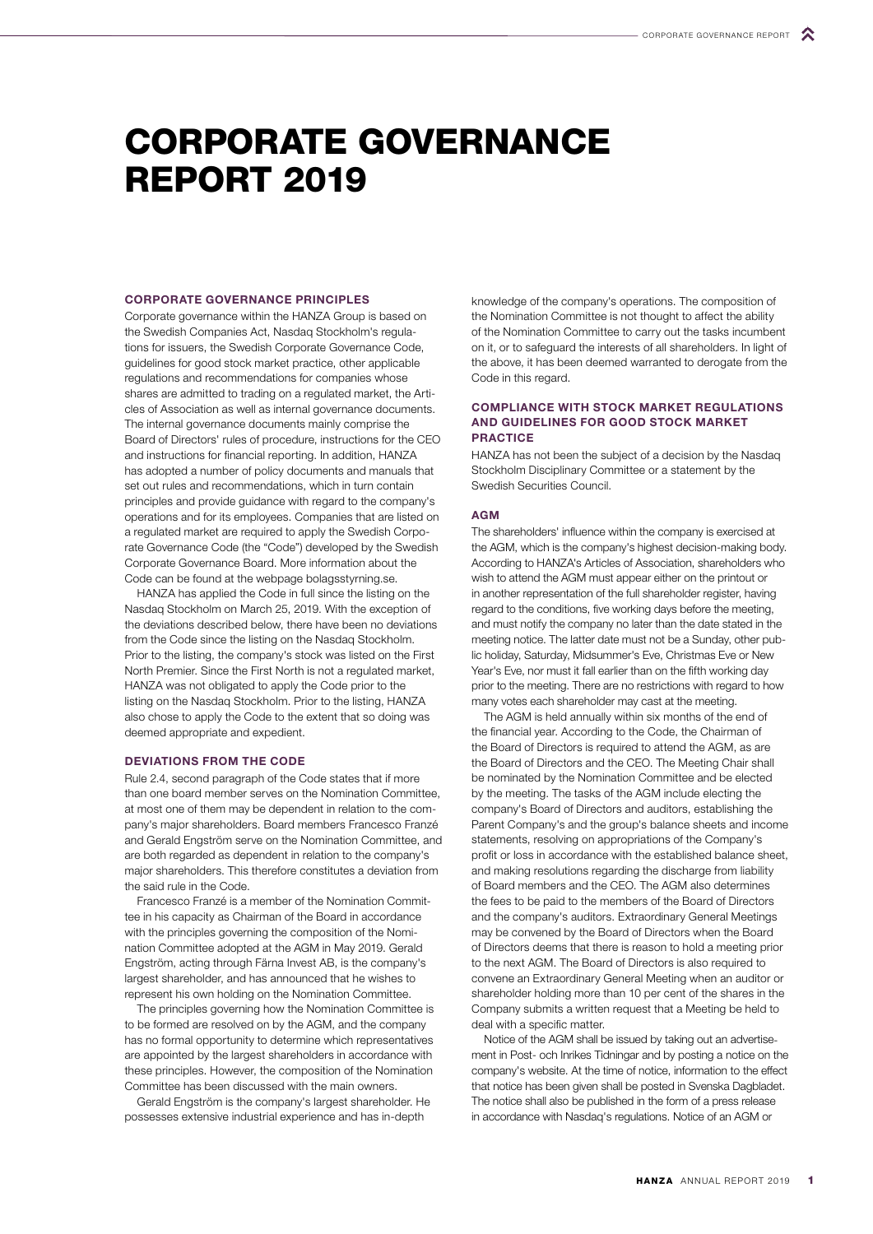# CORPORATE GOVERNANCE REPORT 2019

## CORPORATE GOVERNANCE PRINCIPLES

Corporate governance within the HANZA Group is based on the Swedish Companies Act, Nasdaq Stockholm's regulations for issuers, the Swedish Corporate Governance Code, guidelines for good stock market practice, other applicable regulations and recommendations for companies whose shares are admitted to trading on a regulated market, the Articles of Association as well as internal governance documents. The internal governance documents mainly comprise the Board of Directors' rules of procedure, instructions for the CEO and instructions for financial reporting. In addition, HANZA has adopted a number of policy documents and manuals that set out rules and recommendations, which in turn contain principles and provide guidance with regard to the company's operations and for its employees. Companies that are listed on a regulated market are required to apply the Swedish Corporate Governance Code (the "Code") developed by the Swedish Corporate Governance Board. More information about the Code can be found at the webpage bolagsstyrning.se.

HANZA has applied the Code in full since the listing on the Nasdaq Stockholm on March 25, 2019. With the exception of the deviations described below, there have been no deviations from the Code since the listing on the Nasdaq Stockholm. Prior to the listing, the company's stock was listed on the First North Premier. Since the First North is not a regulated market, HANZA was not obligated to apply the Code prior to the listing on the Nasdaq Stockholm. Prior to the listing, HANZA also chose to apply the Code to the extent that so doing was deemed appropriate and expedient.

## DEVIATIONS FROM THE CODE

Rule 2.4, second paragraph of the Code states that if more than one board member serves on the Nomination Committee, at most one of them may be dependent in relation to the company's major shareholders. Board members Francesco Franzé and Gerald Engström serve on the Nomination Committee, and are both regarded as dependent in relation to the company's major shareholders. This therefore constitutes a deviation from the said rule in the Code.

Francesco Franzé is a member of the Nomination Committee in his capacity as Chairman of the Board in accordance with the principles governing the composition of the Nomination Committee adopted at the AGM in May 2019. Gerald Engström, acting through Färna Invest AB, is the company's largest shareholder, and has announced that he wishes to represent his own holding on the Nomination Committee.

The principles governing how the Nomination Committee is to be formed are resolved on by the AGM, and the company has no formal opportunity to determine which representatives are appointed by the largest shareholders in accordance with these principles. However, the composition of the Nomination Committee has been discussed with the main owners.

Gerald Engström is the company's largest shareholder. He possesses extensive industrial experience and has in-depth

knowledge of the company's operations. The composition of the Nomination Committee is not thought to affect the ability of the Nomination Committee to carry out the tasks incumbent on it, or to safeguard the interests of all shareholders. In light of the above, it has been deemed warranted to derogate from the Code in this regard.

# COMPLIANCE WITH STOCK MARKET REGULATIONS AND GUIDELINES FOR GOOD STOCK MARKET PRACTICE

HANZA has not been the subject of a decision by the Nasdaq Stockholm Disciplinary Committee or a statement by the Swedish Securities Council.

## AGM

The shareholders' influence within the company is exercised at the AGM, which is the company's highest decision-making body. According to HANZA's Articles of Association, shareholders who wish to attend the AGM must appear either on the printout or in another representation of the full shareholder register, having regard to the conditions, five working days before the meeting, and must notify the company no later than the date stated in the meeting notice. The latter date must not be a Sunday, other public holiday, Saturday, Midsummer's Eve, Christmas Eve or New Year's Eve, nor must it fall earlier than on the fifth working day prior to the meeting. There are no restrictions with regard to how many votes each shareholder may cast at the meeting.

The AGM is held annually within six months of the end of the financial year. According to the Code, the Chairman of the Board of Directors is required to attend the AGM, as are the Board of Directors and the CEO. The Meeting Chair shall be nominated by the Nomination Committee and be elected by the meeting. The tasks of the AGM include electing the company's Board of Directors and auditors, establishing the Parent Company's and the group's balance sheets and income statements, resolving on appropriations of the Company's profit or loss in accordance with the established balance sheet, and making resolutions regarding the discharge from liability of Board members and the CEO. The AGM also determines the fees to be paid to the members of the Board of Directors and the company's auditors. Extraordinary General Meetings may be convened by the Board of Directors when the Board of Directors deems that there is reason to hold a meeting prior to the next AGM. The Board of Directors is also required to convene an Extraordinary General Meeting when an auditor or shareholder holding more than 10 per cent of the shares in the Company submits a written request that a Meeting be held to deal with a specific matter.

Notice of the AGM shall be issued by taking out an advertisement in Post- och Inrikes Tidningar and by posting a notice on the company's website. At the time of notice, information to the effect that notice has been given shall be posted in Svenska Dagbladet. The notice shall also be published in the form of a press release in accordance with Nasdaq's regulations. Notice of an AGM or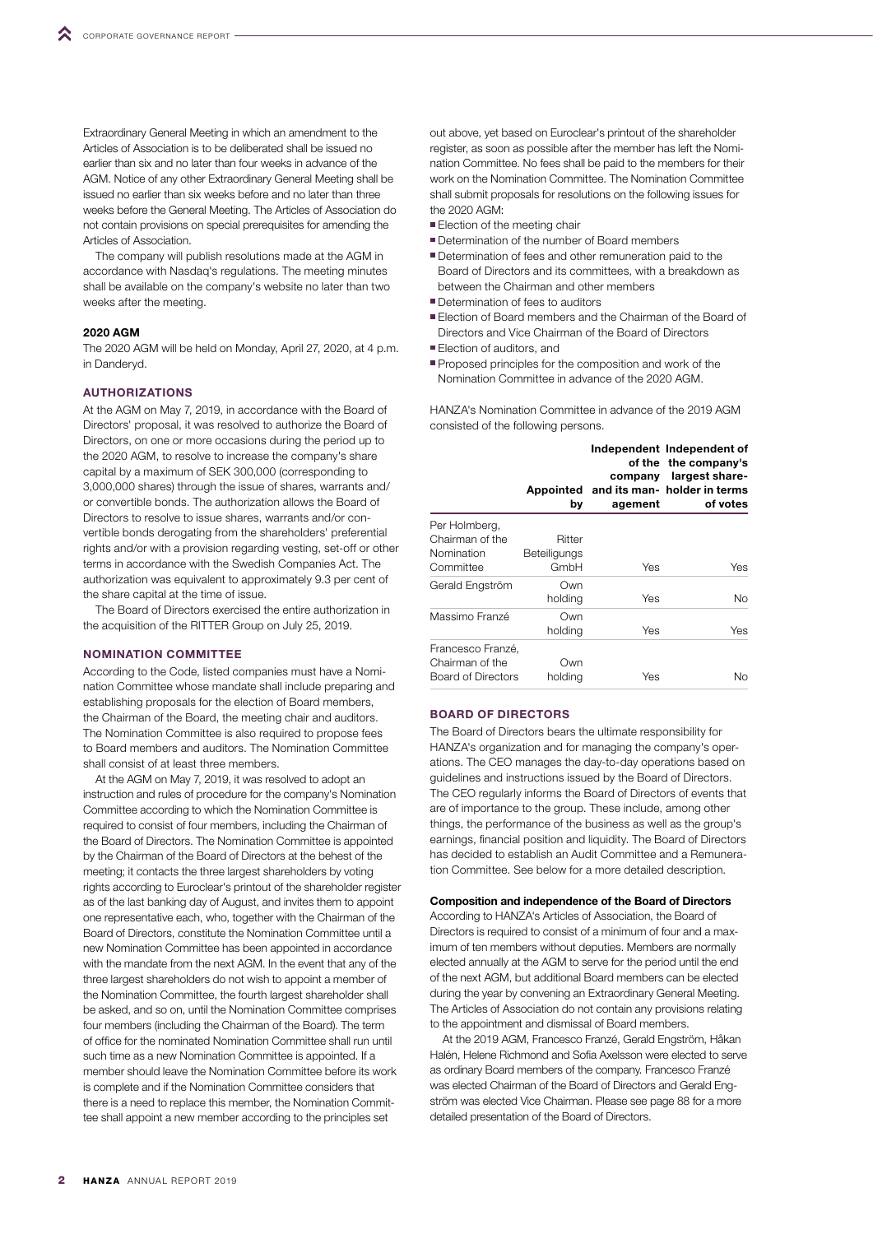Extraordinary General Meeting in which an amendment to the Articles of Association is to be deliberated shall be issued no earlier than six and no later than four weeks in advance of the AGM. Notice of any other Extraordinary General Meeting shall be issued no earlier than six weeks before and no later than three weeks before the General Meeting. The Articles of Association do not contain provisions on special prerequisites for amending the Articles of Association.

The company will publish resolutions made at the AGM in accordance with Nasdaq's regulations. The meeting minutes shall be available on the company's website no later than two weeks after the meeting.

## 2020 AGM

The 2020 AGM will be held on Monday, April 27, 2020, at 4 p.m. in Danderyd.

# **AUTHORIZATIONS**

At the AGM on May 7, 2019, in accordance with the Board of Directors' proposal, it was resolved to authorize the Board of Directors, on one or more occasions during the period up to the 2020 AGM, to resolve to increase the company's share capital by a maximum of SEK 300,000 (corresponding to 3,000,000 shares) through the issue of shares, warrants and/ or convertible bonds. The authorization allows the Board of Directors to resolve to issue shares, warrants and/or convertible bonds derogating from the shareholders' preferential rights and/or with a provision regarding vesting, set-off or other terms in accordance with the Swedish Companies Act. The authorization was equivalent to approximately 9.3 per cent of the share capital at the time of issue.

The Board of Directors exercised the entire authorization in the acquisition of the RITTER Group on July 25, 2019.

## NOMINATION COMMITTEE

According to the Code, listed companies must have a Nomination Committee whose mandate shall include preparing and establishing proposals for the election of Board members, the Chairman of the Board, the meeting chair and auditors. The Nomination Committee is also required to propose fees to Board members and auditors. The Nomination Committee shall consist of at least three members.

At the AGM on May 7, 2019, it was resolved to adopt an instruction and rules of procedure for the company's Nomination Committee according to which the Nomination Committee is required to consist of four members, including the Chairman of the Board of Directors. The Nomination Committee is appointed by the Chairman of the Board of Directors at the behest of the meeting; it contacts the three largest shareholders by voting rights according to Euroclear's printout of the shareholder register as of the last banking day of August, and invites them to appoint one representative each, who, together with the Chairman of the Board of Directors, constitute the Nomination Committee until a new Nomination Committee has been appointed in accordance with the mandate from the next AGM. In the event that any of the three largest shareholders do not wish to appoint a member of the Nomination Committee, the fourth largest shareholder shall be asked, and so on, until the Nomination Committee comprises four members (including the Chairman of the Board). The term of office for the nominated Nomination Committee shall run until such time as a new Nomination Committee is appointed. If a member should leave the Nomination Committee before its work is complete and if the Nomination Committee considers that there is a need to replace this member, the Nomination Committee shall appoint a new member according to the principles set

out above, yet based on Euroclear's printout of the shareholder register, as soon as possible after the member has left the Nomination Committee. No fees shall be paid to the members for their work on the Nomination Committee. The Nomination Committee shall submit proposals for resolutions on the following issues for the 2020 AGM:

- Election of the meeting chair
- Determination of the number of Board members
- Determination of fees and other remuneration paid to the Board of Directors and its committees, with a breakdown as between the Chairman and other members
- Determination of fees to auditors
- **Election of Board members and the Chairman of the Board of** Directors and Vice Chairman of the Board of Directors
- **Election of auditors, and**
- Proposed principles for the composition and work of the Nomination Committee in advance of the 2020 AGM.

HANZA's Nomination Committee in advance of the 2019 AGM consisted of the following persons.

|                                                             | Appointed<br>bγ                | company<br>agement | Independent Independent of<br>of the the company's<br>largest share-<br>and its man-holder in terms<br>of votes |
|-------------------------------------------------------------|--------------------------------|--------------------|-----------------------------------------------------------------------------------------------------------------|
| Per Holmberg,<br>Chairman of the<br>Nomination<br>Committee | Ritter<br>Beteiligungs<br>GmbH | Yes                | Yes                                                                                                             |
| Gerald Engström                                             | Own<br>holding                 | Yes                | Nο                                                                                                              |
| Massimo Franzé                                              | Own<br>holding                 | Yes                | Yes                                                                                                             |
| Francesco Franzé.<br>Chairman of the<br>Board of Directors  | Own<br>holding                 | Yes                | Nο                                                                                                              |

### BOARD OF DIRECTORS

The Board of Directors bears the ultimate responsibility for HANZA's organization and for managing the company's operations. The CEO manages the day-to-day operations based on guidelines and instructions issued by the Board of Directors. The CEO regularly informs the Board of Directors of events that are of importance to the group. These include, among other things, the performance of the business as well as the group's earnings, financial position and liquidity. The Board of Directors has decided to establish an Audit Committee and a Remuneration Committee. See below for a more detailed description.

Composition and independence of the Board of Directors

According to HANZA's Articles of Association, the Board of Directors is required to consist of a minimum of four and a maximum of ten members without deputies. Members are normally elected annually at the AGM to serve for the period until the end of the next AGM, but additional Board members can be elected during the year by convening an Extraordinary General Meeting. The Articles of Association do not contain any provisions relating to the appointment and dismissal of Board members.

At the 2019 AGM, Francesco Franzé, Gerald Engström, Håkan Halén, Helene Richmond and Sofia Axelsson were elected to serve as ordinary Board members of the company. Francesco Franzé was elected Chairman of the Board of Directors and Gerald Engström was elected Vice Chairman. Please see page 88 for a more detailed presentation of the Board of Directors.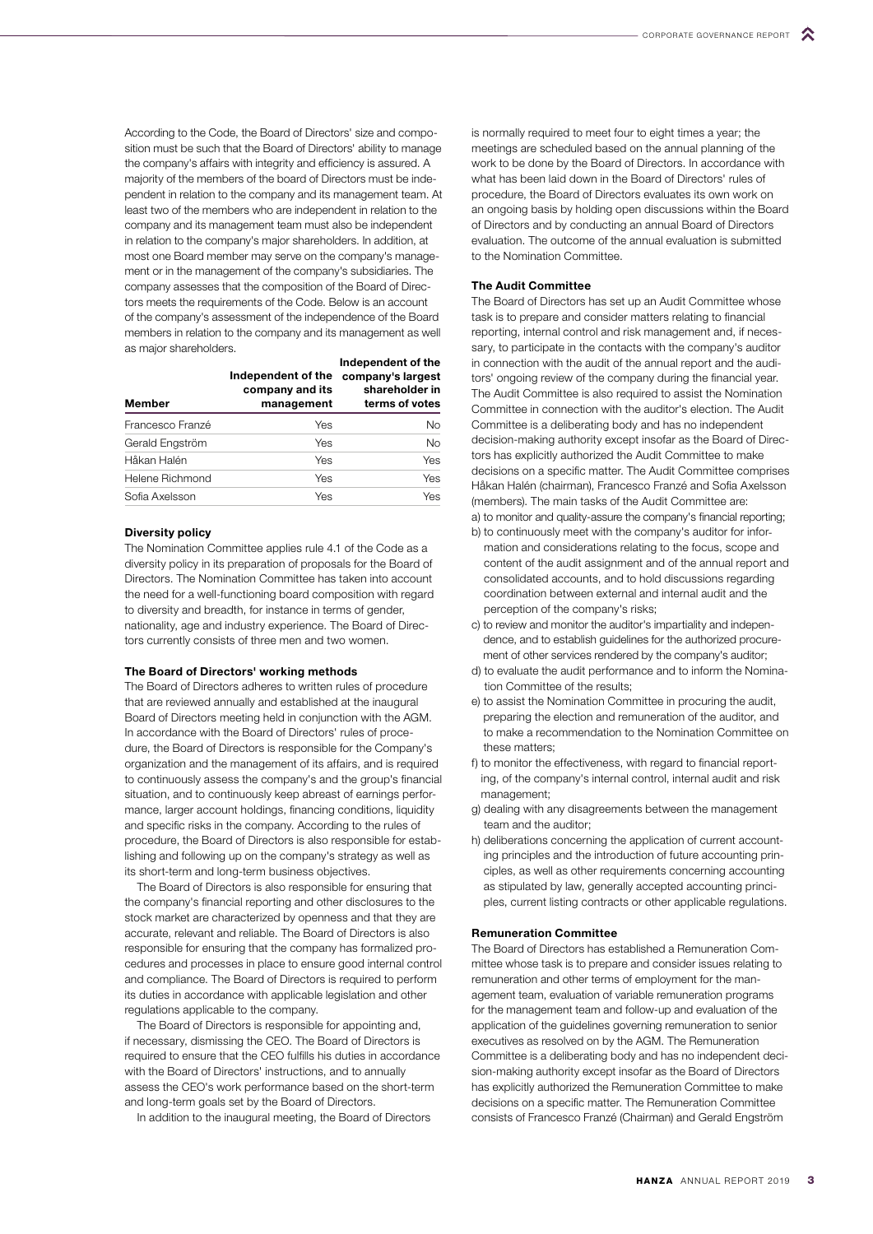According to the Code, the Board of Directors' size and composition must be such that the Board of Directors' ability to manage the company's affairs with integrity and efficiency is assured. A majority of the members of the board of Directors must be independent in relation to the company and its management team. At least two of the members who are independent in relation to the company and its management team must also be independent in relation to the company's major shareholders. In addition, at most one Board member may serve on the company's management or in the management of the company's subsidiaries. The company assesses that the composition of the Board of Directors meets the requirements of the Code. Below is an account of the company's assessment of the independence of the Board members in relation to the company and its management as well as major shareholders.

| Member           | Independent of the<br>company and its<br>management | Independent of the<br>company's largest<br>shareholder in<br>terms of votes |  |
|------------------|-----------------------------------------------------|-----------------------------------------------------------------------------|--|
| Francesco Franzé | Yes                                                 | N <sub>o</sub>                                                              |  |
| Gerald Engström  | Yes                                                 | <b>No</b>                                                                   |  |
| Håkan Halén      | Yes                                                 | <b>Yes</b>                                                                  |  |
| Helene Richmond  | Yes                                                 | Yes                                                                         |  |
| Sofia Axelsson   | Yes                                                 | Yes                                                                         |  |

#### Diversity policy

The Nomination Committee applies rule 4.1 of the Code as a diversity policy in its preparation of proposals for the Board of Directors. The Nomination Committee has taken into account the need for a well-functioning board composition with regard to diversity and breadth, for instance in terms of gender, nationality, age and industry experience. The Board of Directors currently consists of three men and two women.

# The Board of Directors' working methods

The Board of Directors adheres to written rules of procedure that are reviewed annually and established at the inaugural Board of Directors meeting held in conjunction with the AGM. In accordance with the Board of Directors' rules of procedure, the Board of Directors is responsible for the Company's organization and the management of its affairs, and is required to continuously assess the company's and the group's financial situation, and to continuously keep abreast of earnings performance, larger account holdings, financing conditions, liquidity and specific risks in the company. According to the rules of procedure, the Board of Directors is also responsible for establishing and following up on the company's strategy as well as its short-term and long-term business objectives.

The Board of Directors is also responsible for ensuring that the company's financial reporting and other disclosures to the stock market are characterized by openness and that they are accurate, relevant and reliable. The Board of Directors is also responsible for ensuring that the company has formalized procedures and processes in place to ensure good internal control and compliance. The Board of Directors is required to perform its duties in accordance with applicable legislation and other regulations applicable to the company.

The Board of Directors is responsible for appointing and, if necessary, dismissing the CEO. The Board of Directors is required to ensure that the CEO fulfills his duties in accordance with the Board of Directors' instructions, and to annually assess the CEO's work performance based on the short-term and long-term goals set by the Board of Directors.

In addition to the inaugural meeting, the Board of Directors

is normally required to meet four to eight times a year; the meetings are scheduled based on the annual planning of the work to be done by the Board of Directors. In accordance with what has been laid down in the Board of Directors' rules of procedure, the Board of Directors evaluates its own work on an ongoing basis by holding open discussions within the Board of Directors and by conducting an annual Board of Directors evaluation. The outcome of the annual evaluation is submitted to the Nomination Committee.

# The Audit Committee

The Board of Directors has set up an Audit Committee whose task is to prepare and consider matters relating to financial reporting, internal control and risk management and, if necessary, to participate in the contacts with the company's auditor in connection with the audit of the annual report and the auditors' ongoing review of the company during the financial year. The Audit Committee is also required to assist the Nomination Committee in connection with the auditor's election. The Audit Committee is a deliberating body and has no independent decision-making authority except insofar as the Board of Directors has explicitly authorized the Audit Committee to make decisions on a specific matter. The Audit Committee comprises Håkan Halén (chairman), Francesco Franzé and Sofia Axelsson (members). The main tasks of the Audit Committee are:

a) to monitor and quality-assure the company's financial reporting; b) to continuously meet with the company's auditor for infor-

- mation and considerations relating to the focus, scope and content of the audit assignment and of the annual report and consolidated accounts, and to hold discussions regarding coordination between external and internal audit and the perception of the company's risks;
- c) to review and monitor the auditor's impartiality and independence, and to establish guidelines for the authorized procurement of other services rendered by the company's auditor;
- d) to evaluate the audit performance and to inform the Nomination Committee of the results;
- e) to assist the Nomination Committee in procuring the audit, preparing the election and remuneration of the auditor, and to make a recommendation to the Nomination Committee on these matters;
- f) to monitor the effectiveness, with regard to financial reporting, of the company's internal control, internal audit and risk management;
- g) dealing with any disagreements between the management team and the auditor;
- h) deliberations concerning the application of current accounting principles and the introduction of future accounting principles, as well as other requirements concerning accounting as stipulated by law, generally accepted accounting principles, current listing contracts or other applicable regulations.

## Remuneration Committee

The Board of Directors has established a Remuneration Committee whose task is to prepare and consider issues relating to remuneration and other terms of employment for the management team, evaluation of variable remuneration programs for the management team and follow-up and evaluation of the application of the guidelines governing remuneration to senior executives as resolved on by the AGM. The Remuneration Committee is a deliberating body and has no independent decision-making authority except insofar as the Board of Directors has explicitly authorized the Remuneration Committee to make decisions on a specific matter. The Remuneration Committee consists of Francesco Franzé (Chairman) and Gerald Engström